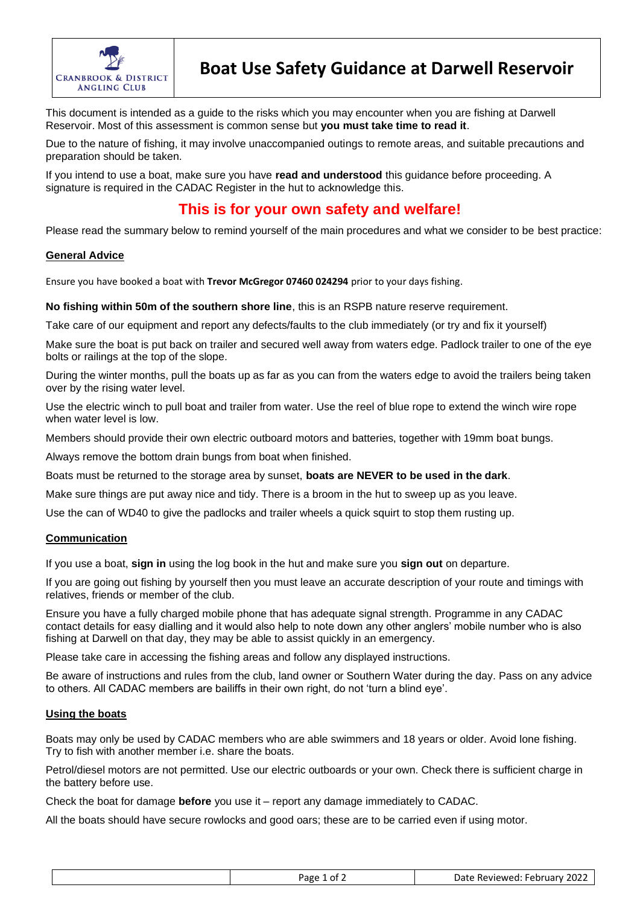

This document is intended as a guide to the risks which you may encounter when you are fishing at Darwell Reservoir. Most of this assessment is common sense but **you must take time to read it**.

Due to the nature of fishing, it may involve unaccompanied outings to remote areas, and suitable precautions and preparation should be taken.

If you intend to use a boat, make sure you have **read and understood** this guidance before proceeding. A signature is required in the CADAC Register in the hut to acknowledge this.

## **This is for your own safety and welfare!**

Please read the summary below to remind yourself of the main procedures and what we consider to be best practice:

### **General Advice**

Ensure you have booked a boat with **Trevor McGregor 07460 024294** prior to your days fishing.

**No fishing within 50m of the southern shore line**, this is an RSPB nature reserve requirement.

Take care of our equipment and report any defects/faults to the club immediately (or try and fix it yourself)

Make sure the boat is put back on trailer and secured well away from waters edge. Padlock trailer to one of the eye bolts or railings at the top of the slope.

During the winter months, pull the boats up as far as you can from the waters edge to avoid the trailers being taken over by the rising water level.

Use the electric winch to pull boat and trailer from water. Use the reel of blue rope to extend the winch wire rope when water level is low.

Members should provide their own electric outboard motors and batteries, together with 19mm boat bungs.

Always remove the bottom drain bungs from boat when finished.

Boats must be returned to the storage area by sunset, **boats are NEVER to be used in the dark**.

Make sure things are put away nice and tidy. There is a broom in the hut to sweep up as you leave.

Use the can of WD40 to give the padlocks and trailer wheels a quick squirt to stop them rusting up.

## **Communication**

If you use a boat, **sign in** using the log book in the hut and make sure you **sign out** on departure.

If you are going out fishing by yourself then you must leave an accurate description of your route and timings with relatives, friends or member of the club.

Ensure you have a fully charged mobile phone that has adequate signal strength. Programme in any CADAC contact details for easy dialling and it would also help to note down any other anglers' mobile number who is also fishing at Darwell on that day, they may be able to assist quickly in an emergency.

Please take care in accessing the fishing areas and follow any displayed instructions.

Be aware of instructions and rules from the club, land owner or Southern Water during the day. Pass on any advice to others. All CADAC members are bailiffs in their own right, do not 'turn a blind eye'.

## **Using the boats**

Boats may only be used by CADAC members who are able swimmers and 18 years or older. Avoid lone fishing. Try to fish with another member i.e. share the boats.

Petrol/diesel motors are not permitted. Use our electric outboards or your own. Check there is sufficient charge in the battery before use.

Check the boat for damage **before** you use it – report any damage immediately to CADAC.

All the boats should have secure rowlocks and good oars; these are to be carried even if using motor.

| Page 1 of $\angle$ | Date Reviewed: February 2022 |
|--------------------|------------------------------|